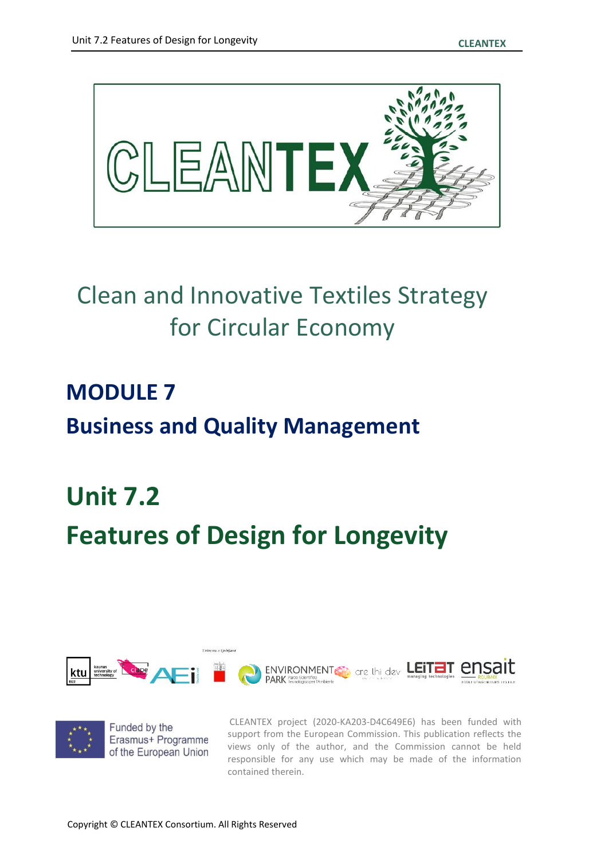

### Clean and Innovative Textiles Strategy for Circular Economy

## **MODULE 7 Business and Quality Management**

# **Unit 7.2 Features of Design for Longevity**

Univerza v Ljubljan





CLEANTEX project (2020-KA203-D4C649E6) has been funded with support from the European Commission. This publication reflects the views only of the author, and the Commission cannot be held responsible for any use which may be made of the information contained therein.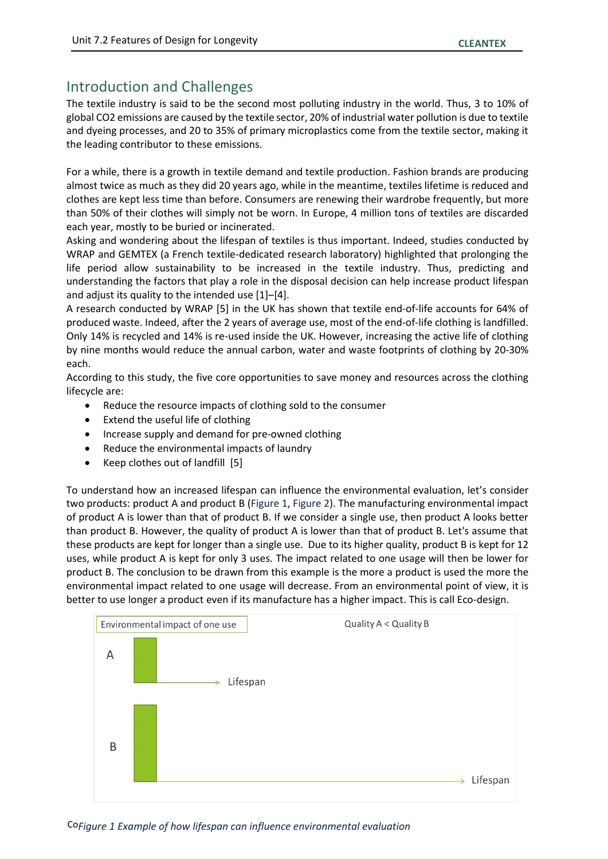#### Introduction and Challenges

The textile industry is said to be the second most polluting industry in the world. Thus, 3 to 10% of global CO2 emissions are caused by the textile sector, 20% of industrial water pollution is due to textile and dyeing processes, and 20 to 35% of primary microplastics come from the textile sector, making it the leading contributor to these emissions.

For a while, there is a growth in textile demand and textile production. Fashion brands are producing almost twice as much as they did 20 years ago, while in the meantime, textiles lifetime is reduced and clothes are kept less time than before. Consumers are renewing their wardrobe frequently, but more than 50% of their clothes will simply not be worn. In Europe, 4 million tons of textiles are discarded each year, mostly to be buried or incinerated.

Asking and wondering about the lifespan of textiles is thus important. Indeed, studies conducted by WRAP and GEMTEX (a French textile-dedicated research laboratory) highlighted that prolonging the life period allow sustainability to be increased in the textile industry. Thus, predicting and understanding the factors that play a role in the disposal decision can help increase product lifespan and adjust its quality to the intended use [1]–[4].

A research conducted by WRAP [5] in the UK has shown that textile end-of-life accounts for 64% of produced waste. Indeed, after the 2 years of average use, most of the end-of-life clothing is landfilled. Only 14% is recycled and 14% is re-used inside the UK. However, increasing the active life of clothing by nine months would reduce the annual carbon, water and waste footprints of clothing by 20-30% each.

According to this study, the five core opportunities to save money and resources across the clothing lifecycle are:

- Reduce the resource impacts of clothing sold to the consumer
- Extend the useful life of clothing
- Increase supply and demand for pre-owned clothing
- Reduce the environmental impacts of laundry
- Keep clothes out of landfill [5]

To understand how an increased lifespan can influence the environmental evaluation, let's consider two products: product A and product B [\(Figure 1,](#page-1-0) [Figure 2\)](#page-2-0). The manufacturing environmental impact of product A is lower than that of product B. If we consider a single use, then product A looks better than product B. However, the quality of product A is lower than that of product B. Let's assume that these products are kept for longer than a single use. Due to its higher quality, product B is kept for 12 uses, while product A is kept for only 3 uses. The impact related to one usage will then be lower for product B. The conclusion to be drawn from this example is the more a product is used the more the environmental impact related to one usage will decrease. From an environmental point of view, it is better to use longer a product even if its manufacture has a higher impact. This is call Eco-design.



<span id="page-1-0"></span>CoFigure 1 *Example of how lifespan can influence environmental evaluation*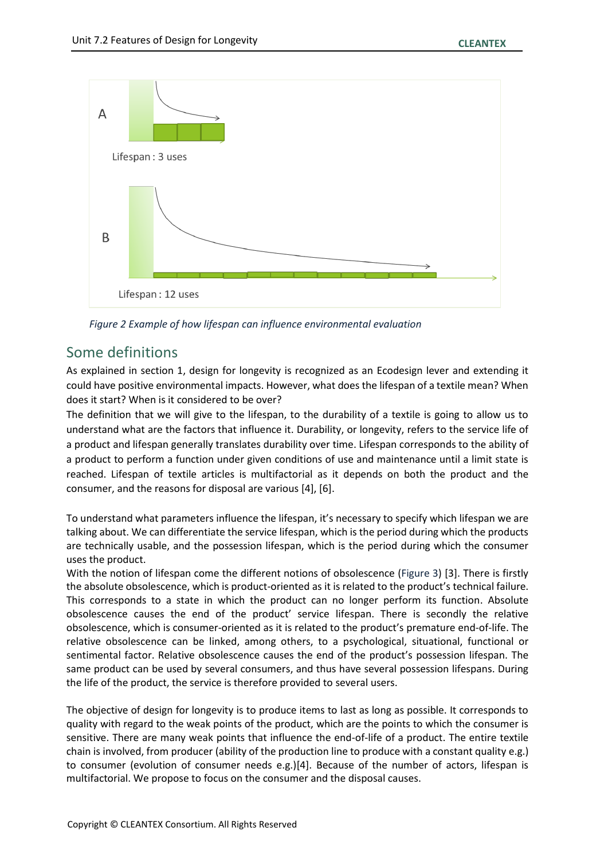

<span id="page-2-0"></span>*Figure 2 Example of how lifespan can influence environmental evaluation*

#### Some definitions

As explained in section 1, design for longevity is recognized as an Ecodesign lever and extending it could have positive environmental impacts. However, what does the lifespan of a textile mean? When does it start? When is it considered to be over?

The definition that we will give to the lifespan, to the durability of a textile is going to allow us to understand what are the factors that influence it. Durability, or longevity, refers to the service life of a product and lifespan generally translates durability over time. Lifespan corresponds to the ability of a product to perform a function under given conditions of use and maintenance until a limit state is reached. Lifespan of textile articles is multifactorial as it depends on both the product and the consumer, and the reasons for disposal are various [4], [6].

To understand what parameters influence the lifespan, it's necessary to specify which lifespan we are talking about. We can differentiate the service lifespan, which is the period during which the products are technically usable, and the possession lifespan, which is the period during which the consumer uses the product.

With the notion of lifespan come the different notions of obsolescence [\(Figure 3\)](#page-3-0) [3]. There is firstly the absolute obsolescence, which is product-oriented as it is related to the product's technical failure. This corresponds to a state in which the product can no longer perform its function. Absolute obsolescence causes the end of the product' service lifespan. There is secondly the relative obsolescence, which is consumer-oriented as it is related to the product's premature end-of-life. The relative obsolescence can be linked, among others, to a psychological, situational, functional or sentimental factor. Relative obsolescence causes the end of the product's possession lifespan. The same product can be used by several consumers, and thus have several possession lifespans. During the life of the product, the service is therefore provided to several users.

The objective of design for longevity is to produce items to last as long as possible. It corresponds to quality with regard to the weak points of the product, which are the points to which the consumer is sensitive. There are many weak points that influence the end-of-life of a product. The entire textile chain is involved, from producer (ability of the production line to produce with a constant quality e.g.) to consumer (evolution of consumer needs e.g.)[4]. Because of the number of actors, lifespan is multifactorial. We propose to focus on the consumer and the disposal causes.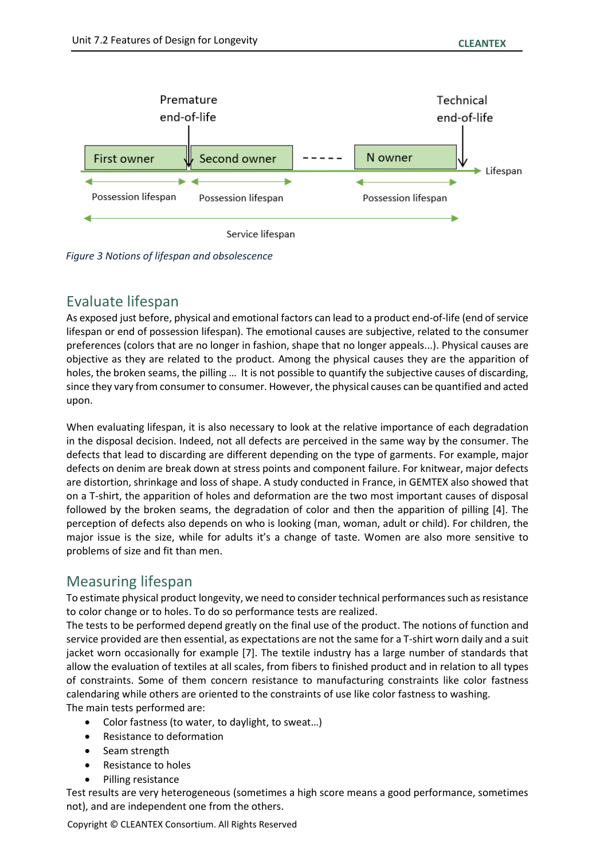

<span id="page-3-0"></span>*Figure 3 Notions of lifespan and obsolescence*

#### Evaluate lifespan

As exposed just before, physical and emotional factors can lead to a product end-of-life (end of service lifespan or end of possession lifespan). The emotional causes are subjective, related to the consumer preferences (colors that are no longer in fashion, shape that no longer appeals...). Physical causes are objective as they are related to the product. Among the physical causes they are the apparition of holes, the broken seams, the pilling … It is not possible to quantify the subjective causes of discarding, since they vary from consumer to consumer. However, the physical causes can be quantified and acted upon.

When evaluating lifespan, it is also necessary to look at the relative importance of each degradation in the disposal decision. Indeed, not all defects are perceived in the same way by the consumer. The defects that lead to discarding are different depending on the type of garments. For example, major defects on denim are break down at stress points and component failure. For knitwear, major defects are distortion, shrinkage and loss of shape. A study conducted in France, in GEMTEX also showed that on a T-shirt, the apparition of holes and deformation are the two most important causes of disposal followed by the broken seams, the degradation of color and then the apparition of pilling [4]. The perception of defects also depends on who is looking (man, woman, adult or child). For children, the major issue is the size, while for adults it's a change of taste. Women are also more sensitive to problems of size and fit than men.

#### Measuring lifespan

To estimate physical product longevity, we need to consider technical performances such as resistance to color change or to holes. To do so performance tests are realized.

The tests to be performed depend greatly on the final use of the product. The notions of function and service provided are then essential, as expectations are not the same for a T-shirt worn daily and a suit jacket worn occasionally for example [7]. The textile industry has a large number of standards that allow the evaluation of textiles at all scales, from fibers to finished product and in relation to all types of constraints. Some of them concern resistance to manufacturing constraints like color fastness calendaring while others are oriented to the constraints of use like color fastness to washing. The main tests performed are:

- Color fastness (to water, to daylight, to sweat…)
- Resistance to deformation
- Seam strength
- Resistance to holes
- Pilling resistance

Test results are very heterogeneous (sometimes a high score means a good performance, sometimes not), and are independent one from the others.

Copyright © CLEANTEX Consortium. All Rights Reserved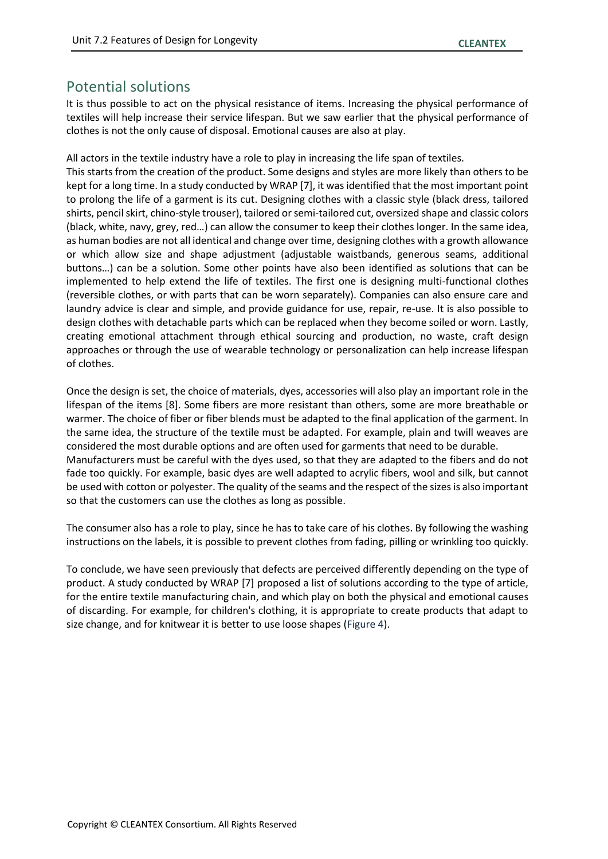#### Potential solutions

It is thus possible to act on the physical resistance of items. Increasing the physical performance of textiles will help increase their service lifespan. But we saw earlier that the physical performance of clothes is not the only cause of disposal. Emotional causes are also at play.

All actors in the textile industry have a role to play in increasing the life span of textiles.

This starts from the creation of the product. Some designs and styles are more likely than others to be kept for a long time. In a study conducted by WRAP [7], it was identified that the most important point to prolong the life of a garment is its cut. Designing clothes with a classic style (black dress, tailored shirts, pencil skirt, chino-style trouser), tailored or semi-tailored cut, oversized shape and classic colors (black, white, navy, grey, red…) can allow the consumer to keep their clothes longer. In the same idea, as human bodies are not all identical and change over time, designing clothes with a growth allowance or which allow size and shape adjustment (adjustable waistbands, generous seams, additional buttons…) can be a solution. Some other points have also been identified as solutions that can be implemented to help extend the life of textiles. The first one is designing multi-functional clothes (reversible clothes, or with parts that can be worn separately). Companies can also ensure care and laundry advice is clear and simple, and provide guidance for use, repair, re-use. It is also possible to design clothes with detachable parts which can be replaced when they become soiled or worn. Lastly, creating emotional attachment through ethical sourcing and production, no waste, craft design approaches or through the use of wearable technology or personalization can help increase lifespan of clothes.

Once the design is set, the choice of materials, dyes, accessories will also play an important role in the lifespan of the items [8]. Some fibers are more resistant than others, some are more breathable or warmer. The choice of fiber or fiber blends must be adapted to the final application of the garment. In the same idea, the structure of the textile must be adapted. For example, plain and twill weaves are considered the most durable options and are often used for garments that need to be durable. Manufacturers must be careful with the dyes used, so that they are adapted to the fibers and do not fade too quickly. For example, basic dyes are well adapted to acrylic fibers, wool and silk, but cannot be used with cotton or polyester. The quality of the seams and the respect of the sizes is also important so that the customers can use the clothes as long as possible.

The consumer also has a role to play, since he has to take care of his clothes. By following the washing instructions on the labels, it is possible to prevent clothes from fading, pilling or wrinkling too quickly.

To conclude, we have seen previously that defects are perceived differently depending on the type of product. A study conducted by WRAP [7] proposed a list of solutions according to the type of article, for the entire textile manufacturing chain, and which play on both the physical and emotional causes of discarding. For example, for children's clothing, it is appropriate to create products that adapt to size change, and for knitwear it is better to use loose shapes [\(Figure 4\)](#page-5-0).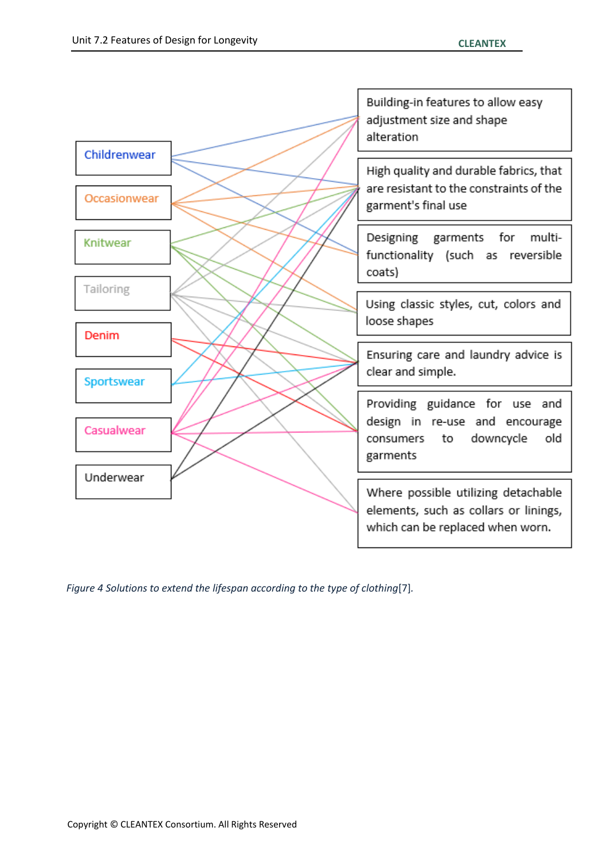

<span id="page-5-0"></span>*Figure 4 Solutions to extend the lifespan according to the type of clothing*[7]*.*